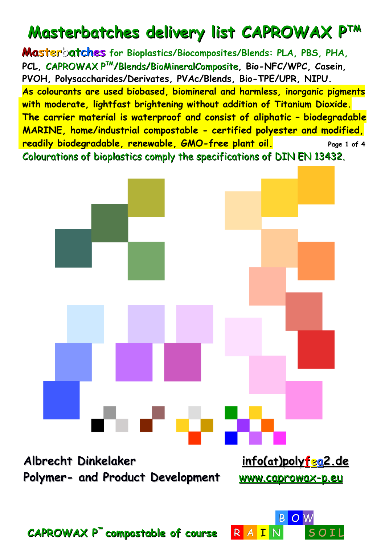# **Masterbatches delivery list CAPROWAX PTM**

 **Masterbatches for Bioplastics/Biocomposites/Blends: PLA, PBS, PHA, PCL,** CAPROWAX PTM/Blends/BioMineralComposite**, Bio-NFC/WPC, Casein, PVOH, Polysaccharides/Derivates, PVAc/Blends, Bio-TPE/UPR, NIPU. As colourants are used biobased, biomineral and harmless, inorganic pigments with moderate, lightfast brightening without addition of Titanium Dioxide. The carrier material is waterproof and consist of aliphatic – biodegradable MARINE, home/industrial compostable - certified polyester and modified, readily biodegradable, renewable, GMO-free plant oil. Page 1 of 4** Colourations of bioplastics comply the specifications of DIN EN 13432.

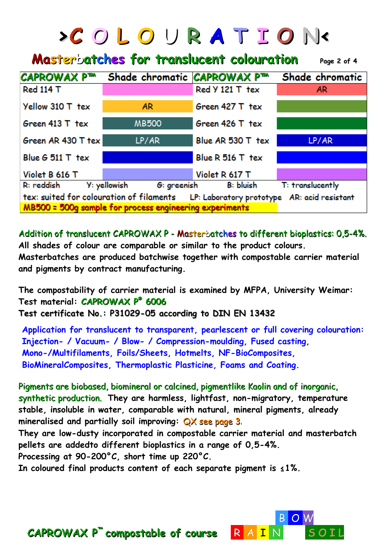|                                                                                                                                                 | <b>&gt;COLOURATION&lt;</b>  |                   |                  |  |  |  |  |
|-------------------------------------------------------------------------------------------------------------------------------------------------|-----------------------------|-------------------|------------------|--|--|--|--|
| <b>Masterbatches for translucent colouration</b><br>Page 2 of 4                                                                                 |                             |                   |                  |  |  |  |  |
| <b>CAPROWAX P™</b>                                                                                                                              | Shade chromatic CAPROWAX Pm |                   | Shade chromatic  |  |  |  |  |
| <b>Red 114 T</b>                                                                                                                                |                             | Red Y 121 T tex   | AR.              |  |  |  |  |
| Yellow 310 T tex                                                                                                                                | AR                          | Green 427 T tex   |                  |  |  |  |  |
| Green $413$ T tex                                                                                                                               | <b>MB500</b>                | Green 426 T tex   |                  |  |  |  |  |
| Green AR 430 T tex                                                                                                                              | LP/AR                       | Blue AR 530 T tex | LP/AR            |  |  |  |  |
| Blue $G$ 511 T tex                                                                                                                              |                             | Blue R 516 T tex  |                  |  |  |  |  |
| Violet B 616 T                                                                                                                                  |                             | Violet R 617 T    |                  |  |  |  |  |
| R: reddish                                                                                                                                      | Y: yellowish<br>G: greenish | B: bluish         | T: translucently |  |  |  |  |
| tex: suited for colouration of filaments LP: Laboratory prototype AR: acid resistant<br>MB500 = 500g sample for process engineering experiments |                             |                   |                  |  |  |  |  |

Addition of translucent CAPROWAX P - Masterbatches to different bioplastics: 0,5-4%. **All shades of colour are comparable or similar to the product colours.**

**Masterbatches are produced batchwise together with compostable carrier material and pigments by contract manufacturing.**

**The compostability of carrier material is examined by MFPA, University Weimar: Test material: CAPROWAX P® 6006 Test certificate No.: P31029-05 according to DIN EN 13432**

 **Application for translucent to transparent, pearlescent or full covering colouration: Injection- / Vacuum- / Blow- / Compression-moulding, Fused casting, Mono-/Multifilaments, Foils/Sheets, Hotmelts, NF-BioComposites, BioMineralComposites, Thermoplastic Plasticine, Foams and Coating.**

Pigments are biobased, biomineral or calcined, pigmentlike Kaolin and of inorganic, synthetic production. **They are harmless, lightfast, non-migratory, temperature stable, insoluble in water, comparable with natural, mineral pigments, already mineralised and partially soil improving:** QX see page 3.

**They are low-dusty incorporated in compostable carrier material and masterbatch pellets are addedto different bioplastics in a range of 0,5-4%.** 

**Processing at 90-200°C, short time up 220°C.** 

**In coloured final products content of each separate pigment is ≤1%.**

B O W B O W B O W B O W B O W B O W B O W B O W B O W B O W B O W B O W B O W B O W B O W B O W B O W B O W B O

#### **CAPROWAX P<sup>™</sup> compostable of course R A I**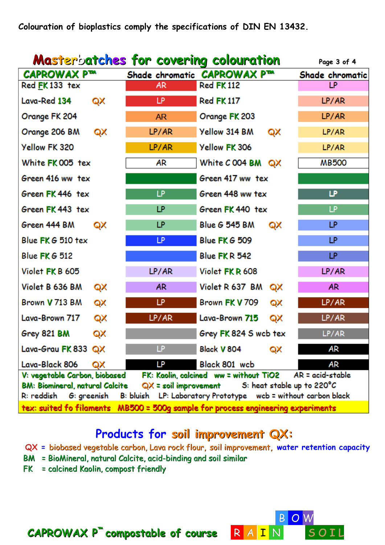| <b>Masterbatches for covering colouration</b>                                                                                                       |       |                              | Page 3 of 4     |  |
|-----------------------------------------------------------------------------------------------------------------------------------------------------|-------|------------------------------|-----------------|--|
| CAPROWAX P™                                                                                                                                         |       | Shade chromatic CAPROWAX PTM | Shade chromatic |  |
| Red FK 133 tex                                                                                                                                      | AR.   | <b>Red FK 112</b>            | LP.             |  |
| Lava-Red 134<br>QX                                                                                                                                  | LP    | <b>Red FK 117</b>            | LP/AR           |  |
| Orange FK 204                                                                                                                                       | AR.   | Orange FK 203                | LP/AR           |  |
| Orange 206 BM<br>QX                                                                                                                                 | LP/AR | Yellow 314 BM<br>QX          | LP/AR           |  |
| Yellow FK 320                                                                                                                                       | LP/AR | Yellow FK 306                | LP/AR           |  |
| White FK 005 tex                                                                                                                                    | AR    | White $C$ 004 BM $QX$        | <b>MB500</b>    |  |
| Green 416 ww tex                                                                                                                                    |       | Green 417 ww tex             |                 |  |
| Green FK 446 tex                                                                                                                                    | LP    | Green 448 ww tex             | ⊮               |  |
| Green FK 443 tex                                                                                                                                    | LP    | Green FK 440 tex             | LP.             |  |
| Green 444 BM<br>QX                                                                                                                                  | LP    | <b>Blue G 545 BM</b><br>QX   | LP              |  |
| Blue FK G 510 tex                                                                                                                                   | LP.   | <b>Blue FK G 509</b>         | LP.             |  |
| <b>Blue FKG 512</b>                                                                                                                                 |       | Blue FKR 542                 | LP.             |  |
| Violet FK B 605                                                                                                                                     | LP/AR | Violet FKR 608               | LP/AR           |  |
| Violet B 636 BM<br>QX                                                                                                                               | AR.   | Violet R 637 BM<br>QX        | AR.             |  |
| Brown V 713 BM<br>QX                                                                                                                                | LP    | Brown FK V 709<br>QX         | LP/AR           |  |
| Lava-Brown 717<br>QX                                                                                                                                | LP/AR | Lava-Brown 715<br>QX         | LP/AR           |  |
| Grey 821 BM<br>QX                                                                                                                                   |       | Grey FK 824 S wcb tex        | LP/AR           |  |
| Lava-Grau FK 833 QX                                                                                                                                 | LP    | Black V 804<br>QX            | AR              |  |
| Lava-Black 806<br>QX                                                                                                                                | LP    | Black 801 wcb                | AR              |  |
| V: vegetable Carbon, biobased<br>$AR = acid-stable$<br>FK: Kaolin, calcined ww = without TiO2<br><b>BM: Biomineral, natural Calcite</b>             |       |                              |                 |  |
| $QX =$ soil improvement<br>S: heat stable up to 220°C<br>B: bluish LP: Laboratory Prototype wcb = without carbon black<br>R: reddish<br>G: greenish |       |                              |                 |  |
| tex: suited fo filaments MB500 = 500g sample for process engineering experiments                                                                    |       |                              |                 |  |

### **Products for soil improvement QX:**

- **QX =** biobased vegetable carbon, Lava rock flour, soil improvement, **water retention capacity**
- BM = BioMineral, natural Calcite, acid-binding and soil similar
- FK = calcined Kaolin, compost friendly



 **CAPROWAX P™ compostable of course** R A I N S O I L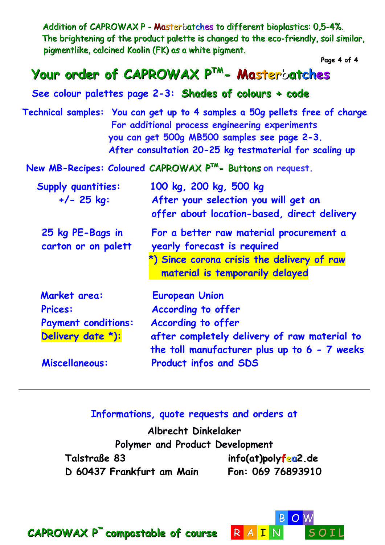Addition of CAPROWAX P - Masterbatches to different bioplastics: 0.5-4%. The brightening of the product palette is changed to the eco-friendly, soil similar, pigmentlike, calcined Kaolin (FK) as a white pigment.

**Page 4 of 4** 

## **Your order of CAPROWAX PTM - Masterbatches**

 **See colour palettes page 2-3: Shades of colours + code** 

 **Technical samples: You can get up to 4 samples a 50g pellets free of charge For additional process engineering experiments you can get 500g MB500 samples see page 2-3. After consultation 20-25 kg testmaterial for scaling up** 

 **New MB-Recipes: Coloured** CAPROWAX **PTM -** Buttons **on request.** 

| <b>Supply quantities:</b><br>$+/- 25$ kg: | 100 kg, 200 kg, 500 kg<br>After your selection you will get an<br>offer about location-based, direct delivery |
|-------------------------------------------|---------------------------------------------------------------------------------------------------------------|
| 25 kg PE-Bags in<br>carton or on palett   | For a better raw material procurement a<br>yearly forecast is required                                        |
|                                           | *) Since corona crisis the delivery of raw<br>material is temporarily delayed                                 |
| Market area:                              | <b>European Union</b>                                                                                         |
| <b>Prices:</b>                            | <b>According to offer</b>                                                                                     |
| <b>Payment conditions:</b>                | <b>According to offer</b>                                                                                     |
| Delivery date *):                         | after completely delivery of raw material to<br>the toll manufacturer plus up to 6 - 7 weeks                  |
| Miscellaneous:                            | <b>Product infos and SDS</b>                                                                                  |
|                                           |                                                                                                               |

#### **Informations, quote requests and orders at**

**Albrecht Dinkelaker Polymer and Product Development Talstraße 83 [info\(at\)polyfea2.de](mailto:info@polyfea2.de) D 60437 Frankfurt am Main Fon: 069 76893910**



 **CAPROWAX P™ compostable of course** R A I N S O I L